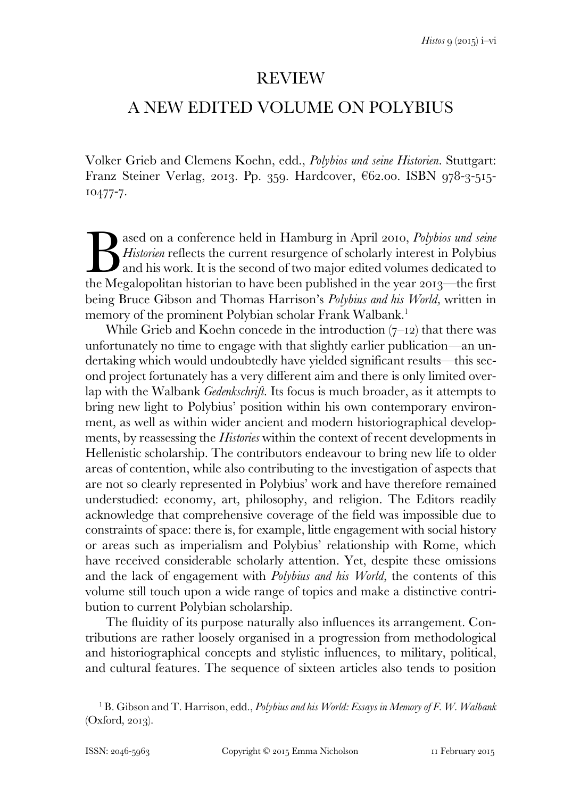## REVIEW

## A NEW EDITED VOLUME ON POLYBIUS

Volker Grieb and Clemens Koehn, edd., *Polybios und seine Historien*. Stuttgart: Franz Steiner Verlag, 2013. Pp. 359. Hardcover, €62.00. ISBN 978-3-515- 10477-7.

ased on a conference held in Hamburg in April 2010, *Polybios und seine Historien* reflects the current resurgence of scholarly interest in Polybius and his work. It is the second of two major edited volumes dedicated to ased on a conference held in Hamburg in April 2010, Polybios und seine<br>Historien reflects the current resurgence of scholarly interest in Polybius<br>and his work. It is the second of two major edited volumes dedicated to<br>the being Bruce Gibson and Thomas Harrison's *Polybius and his World,* written in memory of the prominent Polybian scholar Frank Walbank.<sup>1</sup>

While Grieb and Koehn concede in the introduction  $(7-12)$  that there was unfortunately no time to engage with that slightly earlier publication*—*an undertaking which would undoubtedly have yielded significant results—this second project fortunately has a very different aim and there is only limited overlap with the Walbank *Gedenkschrift*. Its focus is much broader, as it attempts to bring new light to Polybius' position within his own contemporary environment, as well as within wider ancient and modern historiographical developments, by reassessing the *Histories* within the context of recent developments in Hellenistic scholarship. The contributors endeavour to bring new life to older areas of contention, while also contributing to the investigation of aspects that are not so clearly represented in Polybius' work and have therefore remained understudied: economy, art, philosophy, and religion. The Editors readily acknowledge that comprehensive coverage of the field was impossible due to constraints of space: there is, for example, little engagement with social history or areas such as imperialism and Polybius' relationship with Rome, which have received considerable scholarly attention. Yet, despite these omissions and the lack of engagement with *Polybius and his World,* the contents of this volume still touch upon a wide range of topics and make a distinctive contribution to current Polybian scholarship.

 The fluidity of its purpose naturally also influences its arrangement. Contributions are rather loosely organised in a progression from methodological and historiographical concepts and stylistic influences, to military, political, and cultural features. The sequence of sixteen articles also tends to position

<sup>&</sup>lt;sup>1</sup> B. Gibson and T. Harrison, edd., *Polybius and his World: Essays in Memory of F. W. Walbank* (Oxford, 2013).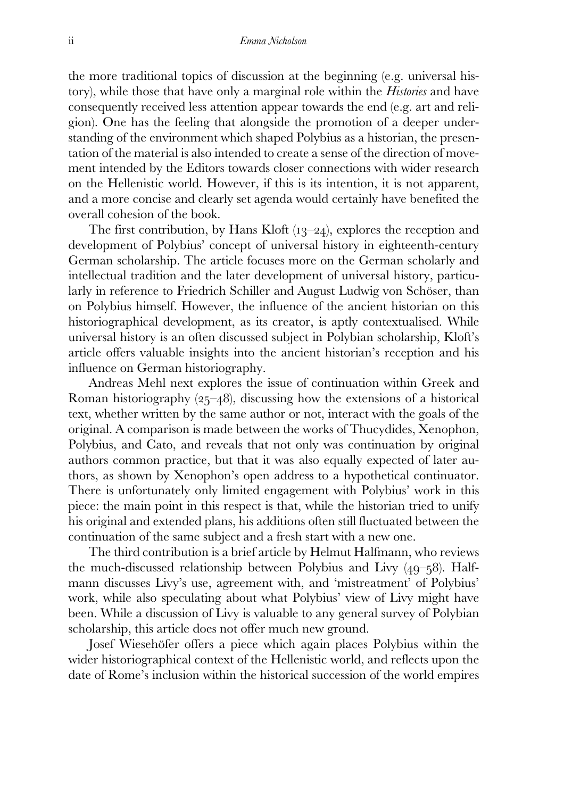the more traditional topics of discussion at the beginning (e.g. universal history), while those that have only a marginal role within the *Histories* and have consequently received less attention appear towards the end (e.g. art and religion). One has the feeling that alongside the promotion of a deeper understanding of the environment which shaped Polybius as a historian, the presentation of the material is also intended to create a sense of the direction of movement intended by the Editors towards closer connections with wider research on the Hellenistic world. However, if this is its intention, it is not apparent, and a more concise and clearly set agenda would certainly have benefited the overall cohesion of the book.

 The first contribution, by Hans Kloft (13–24), explores the reception and development of Polybius' concept of universal history in eighteenth-century German scholarship. The article focuses more on the German scholarly and intellectual tradition and the later development of universal history, particularly in reference to Friedrich Schiller and August Ludwig von Schöser, than on Polybius himself. However, the influence of the ancient historian on this historiographical development, as its creator, is aptly contextualised. While universal history is an often discussed subject in Polybian scholarship, Kloft's article offers valuable insights into the ancient historian's reception and his influence on German historiography.

 Andreas Mehl next explores the issue of continuation within Greek and Roman historiography (25–48), discussing how the extensions of a historical text, whether written by the same author or not, interact with the goals of the original. A comparison is made between the works of Thucydides, Xenophon, Polybius, and Cato, and reveals that not only was continuation by original authors common practice, but that it was also equally expected of later authors, as shown by Xenophon's open address to a hypothetical continuator. There is unfortunately only limited engagement with Polybius' work in this piece: the main point in this respect is that, while the historian tried to unify his original and extended plans, his additions often still fluctuated between the continuation of the same subject and a fresh start with a new one.

 The third contribution is a brief article by Helmut Halfmann, who reviews the much-discussed relationship between Polybius and Livy (49–58). Halfmann discusses Livy's use, agreement with, and 'mistreatment' of Polybius' work, while also speculating about what Polybius' view of Livy might have been. While a discussion of Livy is valuable to any general survey of Polybian scholarship, this article does not offer much new ground.

 Josef Wiesehöfer offers a piece which again places Polybius within the wider historiographical context of the Hellenistic world, and reflects upon the date of Rome's inclusion within the historical succession of the world empires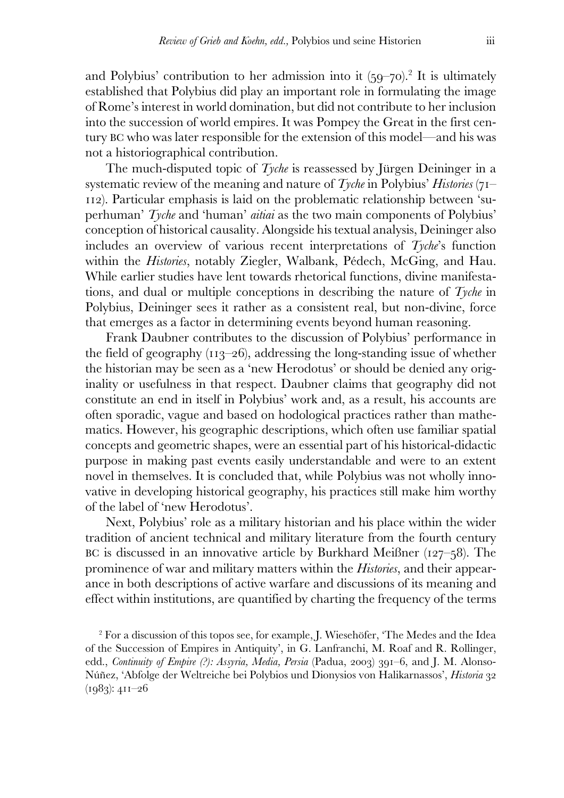and Polybius' contribution to her admission into it  $(59-70)^2$  It is ultimately established that Polybius did play an important role in formulating the image of Rome's interest in world domination, but did not contribute to her inclusion into the succession of world empires. It was Pompey the Great in the first century BC who was later responsible for the extension of this model—and his was not a historiographical contribution.

 The much-disputed topic of *Tyche* is reassessed by Jürgen Deininger in a systematic review of the meaning and nature of *Tyche* in Polybius' *Histories* (71– 112). Particular emphasis is laid on the problematic relationship between 'superhuman' *Tyche* and 'human' *aitiai* as the two main components of Polybius' conception of historical causality. Alongside his textual analysis, Deininger also includes an overview of various recent interpretations of *Tyche*'s function within the *Histories*, notably Ziegler, Walbank, Pédech, McGing, and Hau. While earlier studies have lent towards rhetorical functions, divine manifestations, and dual or multiple conceptions in describing the nature of *Tyche* in Polybius, Deininger sees it rather as a consistent real, but non-divine, force that emerges as a factor in determining events beyond human reasoning.

 Frank Daubner contributes to the discussion of Polybius' performance in the field of geography (113–26), addressing the long-standing issue of whether the historian may be seen as a 'new Herodotus' or should be denied any originality or usefulness in that respect. Daubner claims that geography did not constitute an end in itself in Polybius' work and, as a result, his accounts are often sporadic, vague and based on hodological practices rather than mathematics. However, his geographic descriptions, which often use familiar spatial concepts and geometric shapes, were an essential part of his historical-didactic purpose in making past events easily understandable and were to an extent novel in themselves. It is concluded that, while Polybius was not wholly innovative in developing historical geography, his practices still make him worthy of the label of 'new Herodotus'.

 Next, Polybius' role as a military historian and his place within the wider tradition of ancient technical and military literature from the fourth century BC is discussed in an innovative article by Burkhard Meißner (127–58). The prominence of war and military matters within the *Histories*, and their appearance in both descriptions of active warfare and discussions of its meaning and effect within institutions, are quantified by charting the frequency of the terms

<sup>2</sup> For a discussion of this topos see, for example, J. Wiesehöfer, 'The Medes and the Idea of the Succession of Empires in Antiquity', in G. Lanfranchi, M. Roaf and R. Rollinger, edd., *Continuity of Empire (?): Assyria, Media, Persia* (Padua, 2003) 391–6, and J. M. Alonso-Núñez, 'Abfolge der Weltreiche bei Polybios und Dionysios von Halikarnassos', *Historia* 32 (1983): 411–26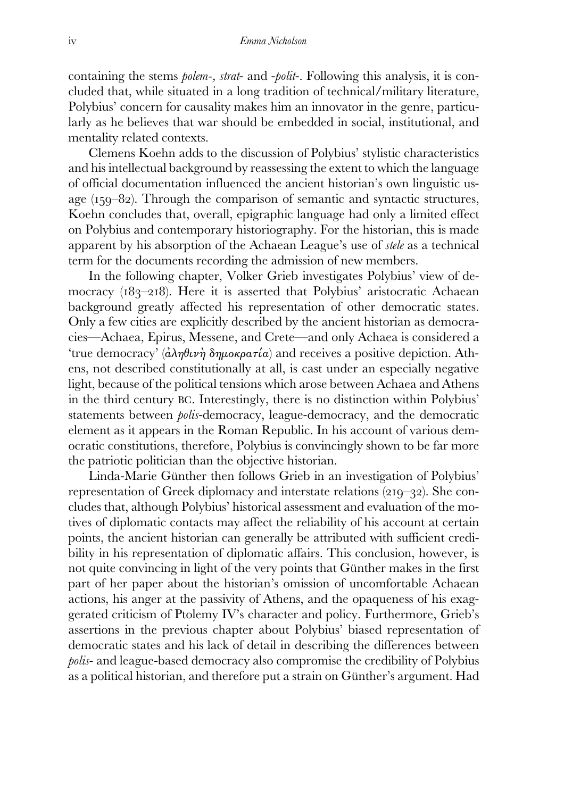containing the stems *polem-, strat*- and -*polit*-. Following this analysis, it is concluded that, while situated in a long tradition of technical/military literature, Polybius' concern for causality makes him an innovator in the genre, particularly as he believes that war should be embedded in social, institutional, and mentality related contexts.

 Clemens Koehn adds to the discussion of Polybius' stylistic characteristics and his intellectual background by reassessing the extent to which the language of official documentation influenced the ancient historian's own linguistic usage (159–82). Through the comparison of semantic and syntactic structures, Koehn concludes that, overall, epigraphic language had only a limited effect on Polybius and contemporary historiography. For the historian, this is made apparent by his absorption of the Achaean League's use of *stele* as a technical term for the documents recording the admission of new members.

 In the following chapter, Volker Grieb investigates Polybius' view of democracy (183–218). Here it is asserted that Polybius' aristocratic Achaean background greatly affected his representation of other democratic states. Only a few cities are explicitly described by the ancient historian as democracies—Achaea, Epirus, Messene, and Crete—and only Achaea is considered a 'true democracy'  $(\hat{a}\lambda\eta\theta\mu\nu\eta\delta\eta\mu o\kappa\rho\sigma\tau\alpha)$  and receives a positive depiction. Athens, not described constitutionally at all, is cast under an especially negative light, because of the political tensions which arose between Achaea and Athens in the third century BC. Interestingly, there is no distinction within Polybius' statements between *polis*-democracy, league-democracy, and the democratic element as it appears in the Roman Republic. In his account of various democratic constitutions, therefore, Polybius is convincingly shown to be far more the patriotic politician than the objective historian.

 Linda-Marie Günther then follows Grieb in an investigation of Polybius' representation of Greek diplomacy and interstate relations (219–32). She concludes that, although Polybius' historical assessment and evaluation of the motives of diplomatic contacts may affect the reliability of his account at certain points, the ancient historian can generally be attributed with sufficient credibility in his representation of diplomatic affairs. This conclusion, however, is not quite convincing in light of the very points that Günther makes in the first part of her paper about the historian's omission of uncomfortable Achaean actions, his anger at the passivity of Athens, and the opaqueness of his exaggerated criticism of Ptolemy IV's character and policy. Furthermore, Grieb's assertions in the previous chapter about Polybius' biased representation of democratic states and his lack of detail in describing the differences between *polis*- and league-based democracy also compromise the credibility of Polybius as a political historian, and therefore put a strain on Günther's argument. Had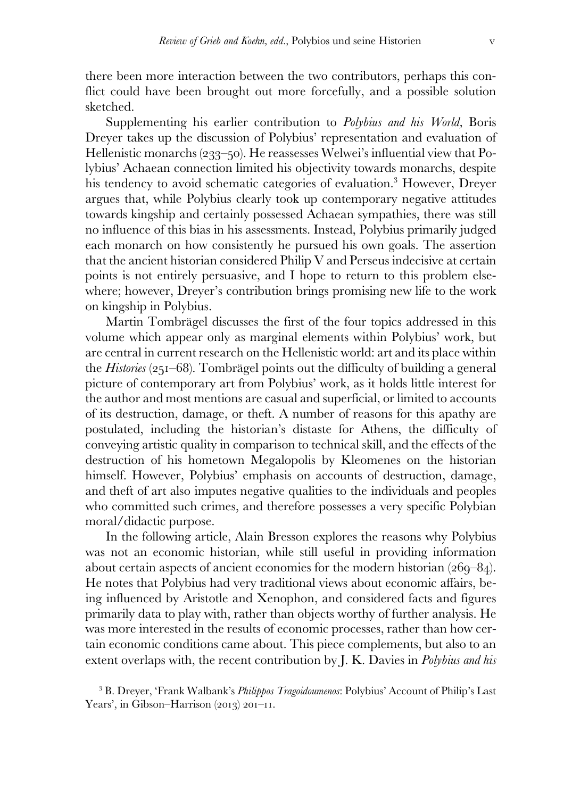there been more interaction between the two contributors, perhaps this conflict could have been brought out more forcefully, and a possible solution sketched.

 Supplementing his earlier contribution to *Polybius and his World,* Boris Dreyer takes up the discussion of Polybius' representation and evaluation of Hellenistic monarchs (233–50). He reassesses Welwei's influential view that Polybius' Achaean connection limited his objectivity towards monarchs, despite his tendency to avoid schematic categories of evaluation.<sup>3</sup> However, Dreyer argues that, while Polybius clearly took up contemporary negative attitudes towards kingship and certainly possessed Achaean sympathies, there was still no influence of this bias in his assessments. Instead, Polybius primarily judged each monarch on how consistently he pursued his own goals. The assertion that the ancient historian considered Philip V and Perseus indecisive at certain points is not entirely persuasive, and I hope to return to this problem elsewhere; however, Dreyer's contribution brings promising new life to the work on kingship in Polybius.

 Martin Tombrägel discusses the first of the four topics addressed in this volume which appear only as marginal elements within Polybius' work, but are central in current research on the Hellenistic world: art and its place within the *Histories* (251–68). Tombrägel points out the difficulty of building a general picture of contemporary art from Polybius' work, as it holds little interest for the author and most mentions are casual and superficial, or limited to accounts of its destruction, damage, or theft. A number of reasons for this apathy are postulated, including the historian's distaste for Athens, the difficulty of conveying artistic quality in comparison to technical skill, and the effects of the destruction of his hometown Megalopolis by Kleomenes on the historian himself. However, Polybius' emphasis on accounts of destruction, damage, and theft of art also imputes negative qualities to the individuals and peoples who committed such crimes, and therefore possesses a very specific Polybian moral/didactic purpose.

 In the following article, Alain Bresson explores the reasons why Polybius was not an economic historian, while still useful in providing information about certain aspects of ancient economies for the modern historian (269–84). He notes that Polybius had very traditional views about economic affairs, being influenced by Aristotle and Xenophon, and considered facts and figures primarily data to play with, rather than objects worthy of further analysis. He was more interested in the results of economic processes, rather than how certain economic conditions came about. This piece complements, but also to an extent overlaps with, the recent contribution by J. K. Davies in *Polybius and his* 

3 B. Dreyer, 'Frank Walbank's *Philippos Tragoidoumenos*: Polybius' Account of Philip's Last Years', in Gibson–Harrison (2013) 201–11.